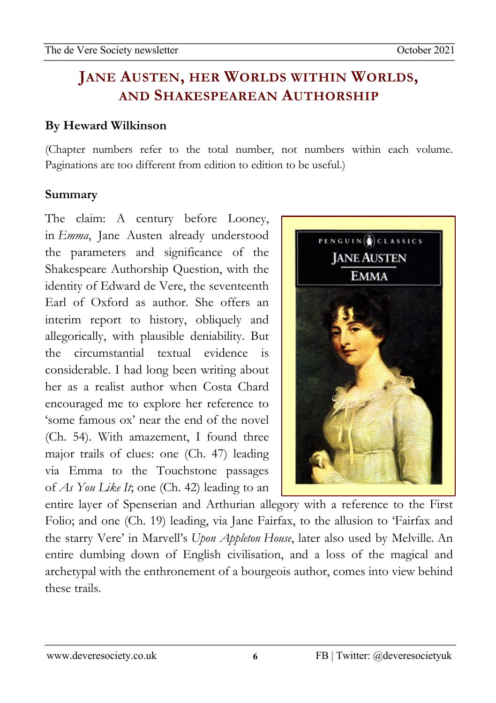#### 02Apro 0 **JANE AUSTEN, HER WORLDS WITHIN WORLDS,** newsletzter<br>1980 - Sterne Sterne Barnett, skriuwski politik<br>1980 - Sterne Barnett, skriuwski politik **AND SHAKESPEAREAN AUTHORSHIP**

## **By Heward Wilkinson**

(Chapter numbers refer to the total number, not numbers within each volume. Paginations are too different from edition to edition to be useful.)

## **Summary**

The claim: A century before Looney, in *Emma*, Jane Austen already understood the parameters and significance of the Shakespeare Authorship Question, with the identity of Edward de Vere, the seventeenth Earl of Oxford as author. She offers an interim report to history, obliquely and allegorically, with plausible deniability. But the circumstantial textual evidence is considerable. I had long been writing about her as a realist author when Costa Chard encouraged me to explore her reference to 'some famous ox' near the end of the novel (Ch. 54). With amazement, I found three major trails of clues: one (Ch. 47) leading via Emma to the Touchstone passages of *As You Like It*; one (Ch. 42) leading to an



entire layer of Spenserian and Arthurian allegory with a reference to the First Folio; and one (Ch. 19) leading, via Jane Fairfax, to the allusion to 'Fairfax and the starry Vere' in Marvell's *Upon Appleton House*, later also used by Melville*.* An entire dumbing down of English civilisation, and a loss of the magical and archetypal with the enthronement of a bourgeois author, comes into view behind these trails.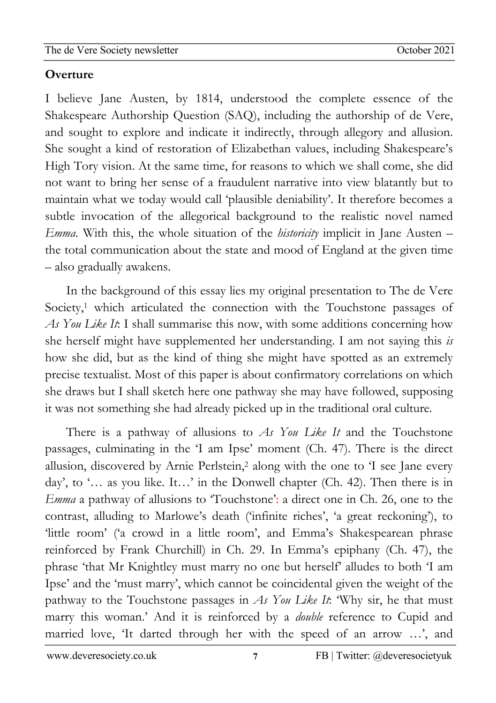02Apro

### newsletzter<br>1980 - Sterne Sterne Barnett, skriuwski politik<br>1980 - Sterne Barnett, skriuwski politik **Overture**

I believe Jane Austen, by 1814, understood the complete essence of the Shakespeare Authorship Question (SAQ), including the authorship of de Vere, and sought to explore and indicate it indirectly, through allegory and allusion. She sought a kind of restoration of Elizabethan values, including Shakespeare's High Tory vision. At the same time, for reasons to which we shall come, she did not want to bring her sense of a fraudulent narrative into view blatantly but to maintain what we today would call 'plausible deniability'. It therefore becomes a subtle invocation of the allegorical background to the realistic novel named *Emma*. With this, the whole situation of the *historicity* implicit in Jane Austen – the total communication about the state and mood of England at the given time – also gradually awakens.

In the background of this essay lies my original presentation to The de Vere Society,<sup>1</sup> which articulated the connection with the Touchstone passages of *As You Like It*: I shall summarise this now, with some additions concerning how she herself might have supplemented her understanding. I am not saying this *is*  how she did, but as the kind of thing she might have spotted as an extremely precise textualist. Most of this paper is about confirmatory correlations on which she draws but I shall sketch here one pathway she may have followed, supposing it was not something she had already picked up in the traditional oral culture.

There is a pathway of allusions to *As You Like It* and the Touchstone passages, culminating in the 'I am Ipse' moment (Ch. 47). There is the direct allusion, discovered by Arnie Perlstein, <sup>2</sup> along with the one to 'I see Jane every day', to '… as you like. It…' in the Donwell chapter (Ch. 42). Then there is in *Emma* a pathway of allusions to 'Touchstone': a direct one in Ch. 26, one to the contrast, alluding to Marlowe's death ('infinite riches', 'a great reckoning'), to 'little room' ('a crowd in a little room', and Emma's Shakespearean phrase reinforced by Frank Churchill) in Ch. 29. In Emma's epiphany (Ch. 47), the phrase 'that Mr Knightley must marry no one but herself' alludes to both 'I am Ipse' and the 'must marry', which cannot be coincidental given the weight of the pathway to the Touchstone passages in *As You Like It*: 'Why sir, he that must marry this woman.' And it is reinforced by a *double* reference to Cupid and married love, 'It darted through her with the speed of an arrow …', and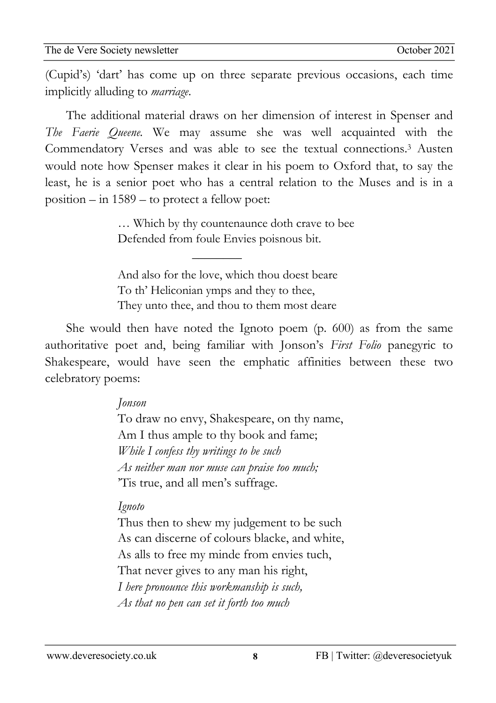02Apro (Cupid's) 'dart' has come up on three separate previous occasions, each time newsletzter<br>1980 - Sterne Sterne Barnett, skriuwski politik<br>1980 - Sterne Barnett, skriuwski politik implicitly alluding to *marriage*.

The additional material draws on her dimension of interest in Spenser and *The Faerie Queene.* We may assume she was well acquainted with the Commendatory Verses and was able to see the textual connections.3 Austen would note how Spenser makes it clear in his poem to Oxford that, to say the least, he is a senior poet who has a central relation to the Muses and is in a position – in 1589 – to protect a fellow poet:

> … Which by thy countenaunce doth crave to bee Defended from foule Envies poisnous bit.

And also for the love, which thou doest beare To th' Heliconian ymps and they to thee, They unto thee, and thou to them most deare

 $\overline{\phantom{a}}$ 

She would then have noted the Ignoto poem (p. 600) as from the same authoritative poet and, being familiar with Jonson's *First Folio* panegyric to Shakespeare, would have seen the emphatic affinities between these two celebratory poems:

## *Jonson*

To draw no envy, Shakespeare, on thy name, Am I thus ample to thy book and fame; *While I confess thy writings to be such As neither man nor muse can praise too much;* 'Tis true, and all men's suffrage.

# *Ignoto*

Thus then to shew my judgement to be such As can discerne of colours blacke, and white, As alls to free my minde from envies tuch, That never gives to any man his right, *I here pronounce this workmanship is such, As that no pen can set it forth too much*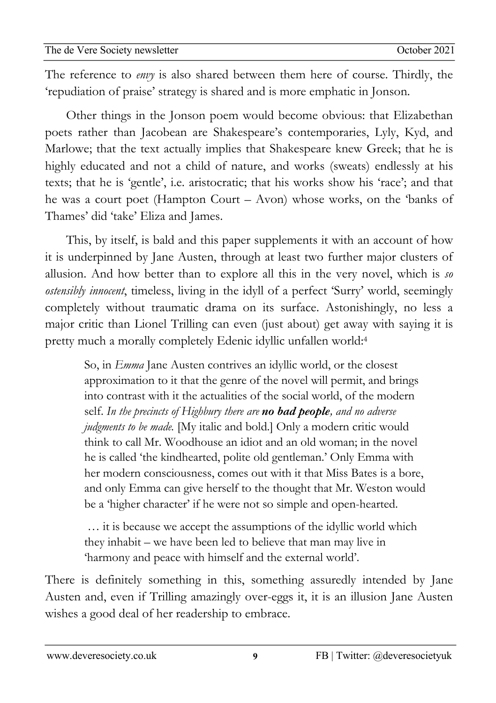02Apro The reference to *envy* is also shared between them here of course. Thirdly, the newsletzter<br>1980 - Sterne Sterne Barnett, skriuwski politik<br>1980 - Sterne Barnett, skriuwski politik 'repudiation of praise' strategy is shared and is more emphatic in Jonson.

Other things in the Jonson poem would become obvious: that Elizabethan poets rather than Jacobean are Shakespeare's contemporaries, Lyly, Kyd, and Marlowe; that the text actually implies that Shakespeare knew Greek; that he is highly educated and not a child of nature, and works (sweats) endlessly at his texts; that he is 'gentle', i.e. aristocratic; that his works show his 'race'; and that he was a court poet (Hampton Court – Avon) whose works, on the 'banks of Thames' did 'take' Eliza and James.

This, by itself, is bald and this paper supplements it with an account of how it is underpinned by Jane Austen, through at least two further major clusters of allusion. And how better than to explore all this in the very novel, which is *so ostensibly innocent*, timeless, living in the idyll of a perfect 'Surry' world, seemingly completely without traumatic drama on its surface. Astonishingly, no less a major critic than Lionel Trilling can even (just about) get away with saying it is pretty much a morally completely Edenic idyllic unfallen world:4

So, in *Emma* Jane Austen contrives an idyllic world, or the closest approximation to it that the genre of the novel will permit, and brings into contrast with it the actualities of the social world, of the modern self. *In the precincts of Highbury there are no bad people, and no adverse judgments to be made.* [My italic and bold.] Only a modern critic would think to call Mr. Woodhouse an idiot and an old woman; in the novel he is called 'the kindhearted, polite old gentleman.' Only Emma with her modern consciousness, comes out with it that Miss Bates is a bore, and only Emma can give herself to the thought that Mr. Weston would be a 'higher character' if he were not so simple and open-hearted.

*…* it is because we accept the assumptions of the idyllic world which they inhabit – we have been led to believe that man may live in 'harmony and peace with himself and the external world'.

There is definitely something in this, something assuredly intended by Jane Austen and, even if Trilling amazingly over-eggs it, it is an illusion Jane Austen wishes a good deal of her readership to embrace.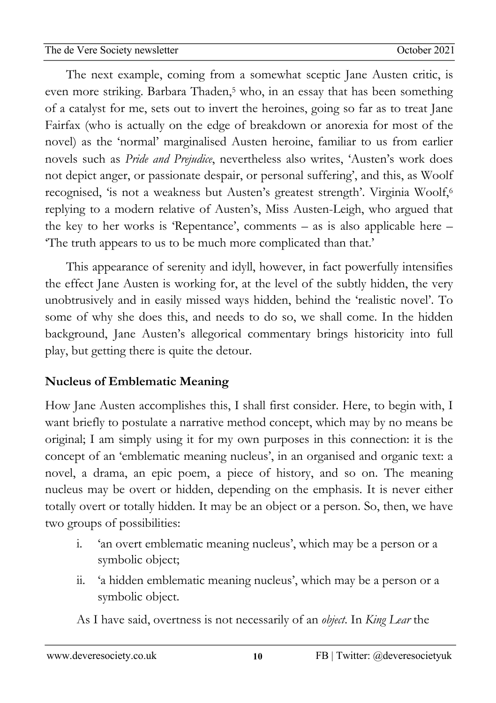02Apro The next example, coming from a somewhat sceptic Jane Austen critic, is newsletzter<br>1980 - Sterne Sterne Barnett, skriuwski politik<br>1980 - Sterne Barnett, skriuwski politik even more striking. Barbara Thaden,<sup>5</sup> who, in an essay that has been something of a catalyst for me, sets out to invert the heroines, going so far as to treat Jane Fairfax (who is actually on the edge of breakdown or anorexia for most of the novel) as the 'normal' marginalised Austen heroine, familiar to us from earlier novels such as *Pride and Prejudice*, nevertheless also writes, 'Austen's work does not depict anger, or passionate despair, or personal suffering', and this, as Woolf recognised, 'is not a weakness but Austen's greatest strength'. Virginia Woolf,6 replying to a modern relative of Austen's, Miss Austen-Leigh, who argued that the key to her works is 'Repentance', comments – as is also applicable here – 'The truth appears to us to be much more complicated than that.'

This appearance of serenity and idyll, however, in fact powerfully intensifies the effect Jane Austen is working for, at the level of the subtly hidden, the very unobtrusively and in easily missed ways hidden, behind the 'realistic novel'. To some of why she does this, and needs to do so, we shall come. In the hidden background, Jane Austen's allegorical commentary brings historicity into full play, but getting there is quite the detour.

# **Nucleus of Emblematic Meaning**

How Jane Austen accomplishes this, I shall first consider. Here, to begin with, I want briefly to postulate a narrative method concept, which may by no means be original; I am simply using it for my own purposes in this connection: it is the concept of an 'emblematic meaning nucleus', in an organised and organic text: a novel, a drama, an epic poem, a piece of history, and so on. The meaning nucleus may be overt or hidden, depending on the emphasis. It is never either totally overt or totally hidden. It may be an object or a person. So, then, we have two groups of possibilities:

- i. 'an overt emblematic meaning nucleus', which may be a person or a symbolic object;
- ii. 'a hidden emblematic meaning nucleus', which may be a person or a symbolic object.

As I have said, overtness is not necessarily of an *object*. In *King Lear* the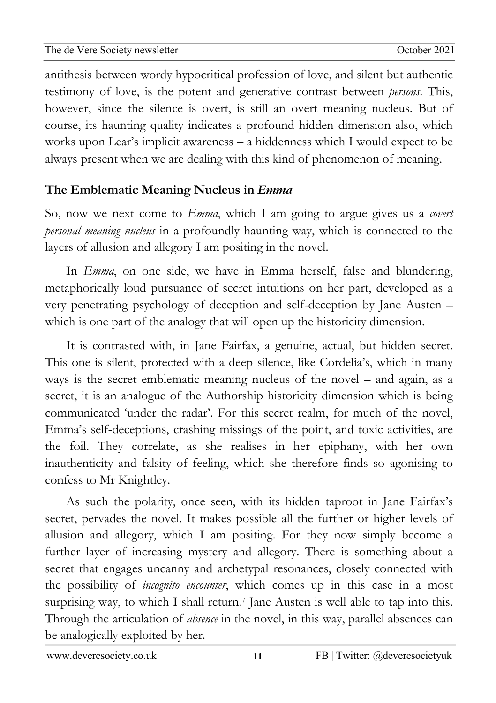02Apro antithesis between wordy hypocritical profession of love, and silent but authentic newsletzter<br>1980 - Sterne Sterne Barnett, skriuwski politik<br>1980 - Sterne Barnett, skriuwski politik testimony of love, is the potent and generative contrast between *persons*. This, however, since the silence is overt, is still an overt meaning nucleus. But of course, its haunting quality indicates a profound hidden dimension also, which works upon Lear's implicit awareness – a hiddenness which I would expect to be always present when we are dealing with this kind of phenomenon of meaning.

# **The Emblematic Meaning Nucleus in** *Emma*

So, now we next come to *Emma*, which I am going to argue gives us a *covert personal meaning nucleus* in a profoundly haunting way, which is connected to the layers of allusion and allegory I am positing in the novel.

In *Emma*, on one side, we have in Emma herself, false and blundering, metaphorically loud pursuance of secret intuitions on her part, developed as a very penetrating psychology of deception and self-deception by Jane Austen – which is one part of the analogy that will open up the historicity dimension.

It is contrasted with, in Jane Fairfax, a genuine, actual, but hidden secret. This one is silent, protected with a deep silence, like Cordelia's, which in many ways is the secret emblematic meaning nucleus of the novel – and again, as a secret, it is an analogue of the Authorship historicity dimension which is being communicated 'under the radar'. For this secret realm, for much of the novel, Emma's self-deceptions, crashing missings of the point, and toxic activities, are the foil. They correlate, as she realises in her epiphany, with her own inauthenticity and falsity of feeling, which she therefore finds so agonising to confess to Mr Knightley.

As such the polarity, once seen, with its hidden taproot in Jane Fairfax's secret, pervades the novel. It makes possible all the further or higher levels of allusion and allegory, which I am positing. For they now simply become a further layer of increasing mystery and allegory. There is something about a secret that engages uncanny and archetypal resonances, closely connected with the possibility of *incognito encounter*, which comes up in this case in a most surprising way, to which I shall return.<sup>7</sup> Jane Austen is well able to tap into this. Through the articulation of *absence* in the novel, in this way, parallel absences can be analogically exploited by her.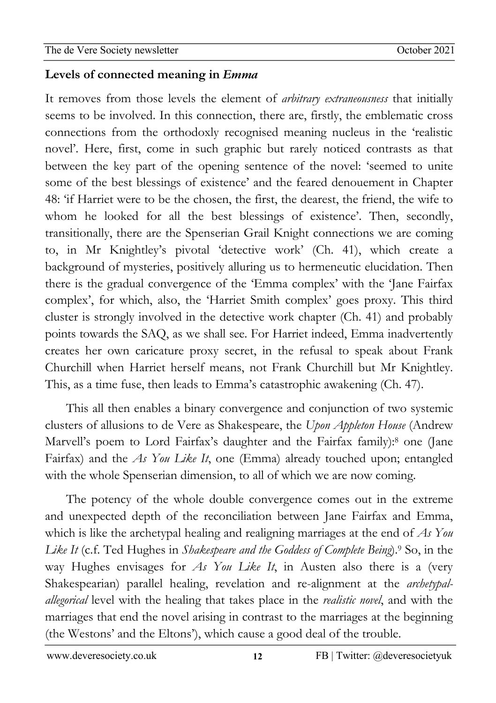02Apro

### newsletzter<br>1980 - Sterne Sterne Barnett, skriuwski politik<br>1980 - Sterne Barnett, skriuwski politik **Levels of connected meaning in** *Emma*

It removes from those levels the element of *arbitrary extraneousness* that initially seems to be involved. In this connection, there are, firstly, the emblematic cross connections from the orthodoxly recognised meaning nucleus in the 'realistic novel'. Here, first, come in such graphic but rarely noticed contrasts as that between the key part of the opening sentence of the novel: 'seemed to unite some of the best blessings of existence' and the feared denouement in Chapter 48: 'if Harriet were to be the chosen, the first, the dearest, the friend, the wife to whom he looked for all the best blessings of existence'. Then, secondly, transitionally, there are the Spenserian Grail Knight connections we are coming to, in Mr Knightley's pivotal 'detective work' (Ch. 41), which create a background of mysteries, positively alluring us to hermeneutic elucidation. Then there is the gradual convergence of the 'Emma complex' with the 'Jane Fairfax complex', for which, also, the 'Harriet Smith complex' goes proxy. This third cluster is strongly involved in the detective work chapter (Ch. 41) and probably points towards the SAQ, as we shall see. For Harriet indeed, Emma inadvertently creates her own caricature proxy secret, in the refusal to speak about Frank Churchill when Harriet herself means, not Frank Churchill but Mr Knightley. This, as a time fuse, then leads to Emma's catastrophic awakening (Ch. 47).

This all then enables a binary convergence and conjunction of two systemic clusters of allusions to de Vere as Shakespeare, the *Upon Appleton House* (Andrew Marvell's poem to Lord Fairfax's daughter and the Fairfax family): <sup>8</sup> one (Jane Fairfax) and the *As You Like It*, one (Emma) already touched upon; entangled with the whole Spenserian dimension, to all of which we are now coming.

The potency of the whole double convergence comes out in the extreme and unexpected depth of the reconciliation between Jane Fairfax and Emma, which is like the archetypal healing and realigning marriages at the end of *As You Like It* (c.f. Ted Hughes in *Shakespeare and the Goddess of Complete Being*).9 So, in the way Hughes envisages for *As You Like It*, in Austen also there is a (very Shakespearian) parallel healing, revelation and re-alignment at the *archetypalallegorical* level with the healing that takes place in the *realistic novel*, and with the marriages that end the novel arising in contrast to the marriages at the beginning (the Westons' and the Eltons'), which cause a good deal of the trouble.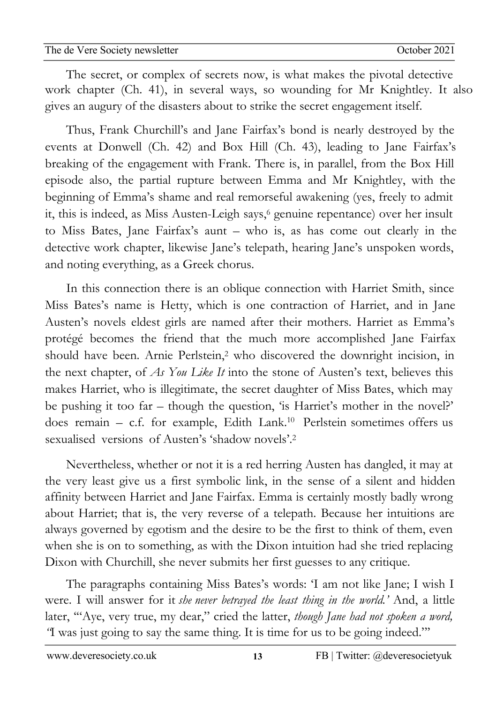02Apro The secret, or complex of secrets now, is what makes the pivotal detective newsletzter<br>1980 - Sterne Sterne Barnett, skriuwski politik<br>1980 - Sterne Barnett, skriuwski politik work chapter (Ch. 41), in several ways, so wounding for Mr Knightley. It also gives an augury of the disasters about to strike the secret engagement itself.

Thus, Frank Churchill's and Jane Fairfax's bond is nearly destroyed by the events at Donwell (Ch. 42) and Box Hill (Ch. 43), leading to Jane Fairfax's breaking of the engagement with Frank. There is, in parallel, from the Box Hill episode also, the partial rupture between Emma and Mr Knightley, with the beginning of Emma's shame and real remorseful awakening (yes, freely to admit it, this is indeed, as Miss Austen-Leigh says,<sup>6</sup> genuine repentance) over her insult to Miss Bates, Jane Fairfax's aunt – who is, as has come out clearly in the detective work chapter, likewise Jane's telepath, hearing Jane's unspoken words, and noting everything, as a Greek chorus.

In this connection there is an oblique connection with Harriet Smith, since Miss Bates's name is Hetty, which is one contraction of Harriet, and in Jane Austen's novels eldest girls are named after their mothers. Harriet as Emma's protégé becomes the friend that the much more accomplished Jane Fairfax should have been. Arnie Perlstein,<sup>2</sup> who discovered the downright incision, in the next chapter, of *As You Like It* into the stone of Austen's text, believes this makes Harriet, who is illegitimate, the secret daughter of Miss Bates, which may be pushing it too far – though the question, 'is Harriet's mother in the novel?' does remain - c.f. for example, Edith Lank.<sup>10</sup> Perlstein sometimes offers us sexualised versions of Austen's 'shadow novels'. 2

Nevertheless, whether or not it is a red herring Austen has dangled, it may at the very least give us a first symbolic link, in the sense of a silent and hidden affinity between Harriet and Jane Fairfax. Emma is certainly mostly badly wrong about Harriet; that is, the very reverse of a telepath. Because her intuitions are always governed by egotism and the desire to be the first to think of them, even when she is on to something, as with the Dixon intuition had she tried replacing Dixon with Churchill, she never submits her first guesses to any critique.

The paragraphs containing Miss Bates's words: 'I am not like Jane; I wish I were. I will answer for it *she never betrayed the least thing in the world.'* And, a little later, '"Aye, very true, my dear," cried the latter, *though Jane had not spoken a word, "*I was just going to say the same thing. It is time for us to be going indeed."'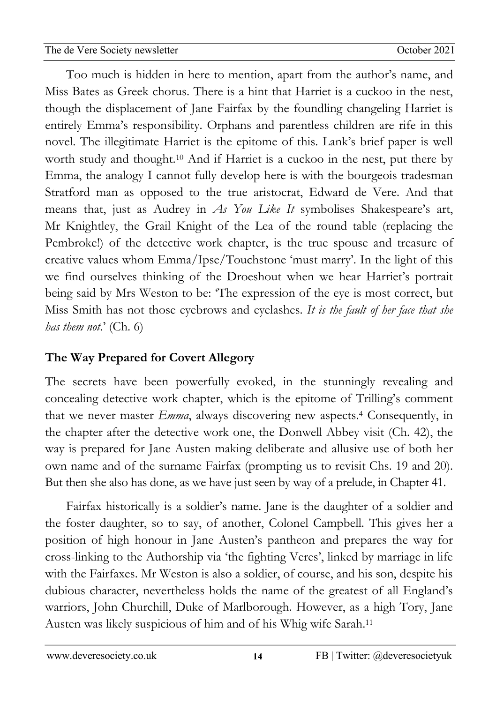The de Vere Society newsletter

02Apro Too much is hidden in here to mention, apart from the author's name, and newsletzter<br>1980 - Sterne Sterne Barnett, skriuwski politik<br>1980 - Sterne Barnett, skriuwski politik Miss Bates as Greek chorus. There is a hint that Harriet is a cuckoo in the nest, though the displacement of Jane Fairfax by the foundling changeling Harriet is entirely Emma's responsibility. Orphans and parentless children are rife in this novel. The illegitimate Harriet is the epitome of this. Lank's brief paper is well worth study and thought.10 And if Harriet is a cuckoo in the nest, put there by Emma, the analogy I cannot fully develop here is with the bourgeois tradesman Stratford man as opposed to the true aristocrat, Edward de Vere. And that means that, just as Audrey in *As You Like It* symbolises Shakespeare's art, Mr Knightley, the Grail Knight of the Lea of the round table (replacing the Pembroke!) of the detective work chapter, is the true spouse and treasure of creative values whom Emma/Ipse/Touchstone 'must marry'. In the light of this we find ourselves thinking of the Droeshout when we hear Harriet's portrait being said by Mrs Weston to be: 'The expression of the eye is most correct, but Miss Smith has not those eyebrows and eyelashes. *It is the fault of her face that she has them not*.' (Ch. 6)

# **The Way Prepared for Covert Allegory**

The secrets have been powerfully evoked, in the stunningly revealing and concealing detective work chapter, which is the epitome of Trilling's comment that we never master *Emma*, always discovering new aspects. <sup>4</sup> Consequently, in the chapter after the detective work one, the Donwell Abbey visit (Ch. 42), the way is prepared for Jane Austen making deliberate and allusive use of both her own name and of the surname Fairfax (prompting us to revisit Chs. 19 and 20). But then she also has done, as we have just seen by way of a prelude, in Chapter 41.

Fairfax historically is a soldier's name. Jane is the daughter of a soldier and the foster daughter, so to say, of another, Colonel Campbell. This gives her a position of high honour in Jane Austen's pantheon and prepares the way for cross-linking to the Authorship via 'the fighting Veres', linked by marriage in life with the Fairfaxes. Mr Weston is also a soldier, of course, and his son, despite his dubious character, nevertheless holds the name of the greatest of all England's warriors, John Churchill, Duke of Marlborough. However, as a high Tory, Jane Austen was likely suspicious of him and of his Whig wife Sarah. 11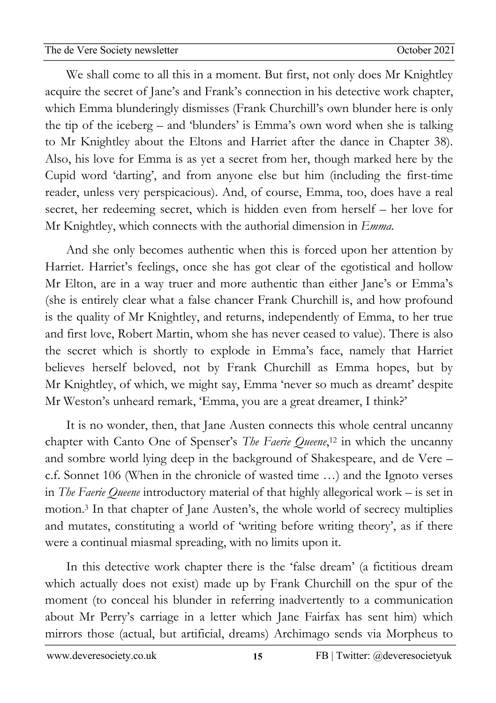02Apro 0 We shall come to all this in a moment. But first, not only does Mr Knightley newsletzter<br>1980 - Sterne Sterne Barnett, skriuwski politik<br>1980 - Sterne Barnett, skriuwski politik acquire the secret of Jane's and Frank's connection in his detective work chapter, which Emma blunderingly dismisses (Frank Churchill's own blunder here is only the tip of the iceberg – and 'blunders' is Emma's own word when she is talking to Mr Knightley about the Eltons and Harriet after the dance in Chapter 38). Also, his love for Emma is as yet a secret from her, though marked here by the Cupid word 'darting', and from anyone else but him (including the first-time reader, unless very perspicacious). And, of course, Emma, too, does have a real secret, her redeeming secret, which is hidden even from herself – her love for Mr Knightley, which connects with the authorial dimension in *Emma*.

And she only becomes authentic when this is forced upon her attention by Harriet. Harriet's feelings, once she has got clear of the egotistical and hollow Mr Elton, are in a way truer and more authentic than either Jane's or Emma's (she is entirely clear what a false chancer Frank Churchill is, and how profound is the quality of Mr Knightley, and returns, independently of Emma, to her true and first love, Robert Martin, whom she has never ceased to value). There is also the secret which is shortly to explode in Emma's face, namely that Harriet believes herself beloved, not by Frank Churchill as Emma hopes, but by Mr Knightley, of which, we might say, Emma 'never so much as dreamt' despite Mr Weston's unheard remark, 'Emma, you are a great dreamer, I think?'

It is no wonder, then, that Jane Austen connects this whole central uncanny chapter with Canto One of Spenser's *The Faerie Queene*, <sup>12</sup> in which the uncanny and sombre world lying deep in the background of Shakespeare, and de Vere – c.f. Sonnet 106 (When in the chronicle of wasted time …) and the Ignoto verses in *The Faerie Queene* introductory material of that highly allegorical work – is set in motion.3 In that chapter of Jane Austen's, the whole world of secrecy multiplies and mutates, constituting a world of 'writing before writing theory', as if there were a continual miasmal spreading, with no limits upon it.

In this detective work chapter there is the 'false dream' (a fictitious dream which actually does not exist) made up by Frank Churchill on the spur of the moment (to conceal his blunder in referring inadvertently to a communication about Mr Perry's carriage in a letter which Jane Fairfax has sent him) which mirrors those (actual, but artificial, dreams) Archimago sends via Morpheus to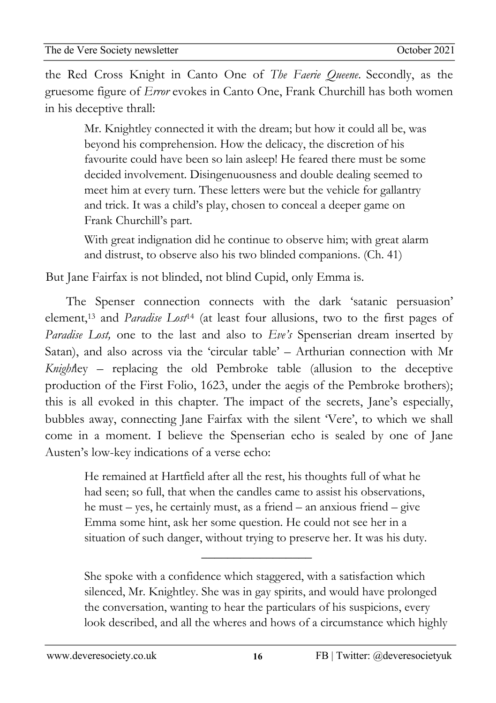02Apro 0 the Red Cross Knight in Canto One of *The Faerie Queene*. Secondly, as the newsletzter<br>1980 - Sterne Sterne Barnett, skriuwski politik<br>1980 - Sterne Barnett, skriuwski politik gruesome figure of *Error* evokes in Canto One, Frank Churchill has both women in his deceptive thrall:

Mr. Knightley connected it with the dream; but how it could all be, was beyond his comprehension. How the delicacy, the discretion of his favourite could have been so lain asleep! He feared there must be some decided involvement. Disingenuousness and double dealing seemed to meet him at every turn. These letters were but the vehicle for gallantry and trick. It was a child's play, chosen to conceal a deeper game on Frank Churchill's part.

With great indignation did he continue to observe him; with great alarm and distrust, to observe also his two blinded companions. (Ch. 41)

But Jane Fairfax is not blinded, not blind Cupid, only Emma is.

The Spenser connection connects with the dark 'satanic persuasion' element,13 and *Paradise Lost*<sup>14</sup> (at least four allusions, two to the first pages of *Paradise Lost,* one to the last and also to *Eve's* Spenserian dream inserted by Satan), and also across via the 'circular table' – Arthurian connection with Mr *Knight*ley – replacing the old Pembroke table (allusion to the deceptive production of the First Folio, 1623, under the aegis of the Pembroke brothers); this is all evoked in this chapter. The impact of the secrets, Jane's especially, bubbles away, connecting Jane Fairfax with the silent 'Vere', to which we shall come in a moment. I believe the Spenserian echo is sealed by one of Jane Austen's low-key indications of a verse echo:

He remained at Hartfield after all the rest, his thoughts full of what he had seen; so full, that when the candles came to assist his observations, he must – yes, he certainly must, as a friend – an anxious friend – give Emma some hint, ask her some question. He could not see her in a situation of such danger, without trying to preserve her. It was his duty.

 $\overline{\phantom{a}}$  , where  $\overline{\phantom{a}}$ 

She spoke with a confidence which staggered, with a satisfaction which silenced, Mr. Knightley. She was in gay spirits, and would have prolonged the conversation, wanting to hear the particulars of his suspicions, every look described, and all the wheres and hows of a circumstance which highly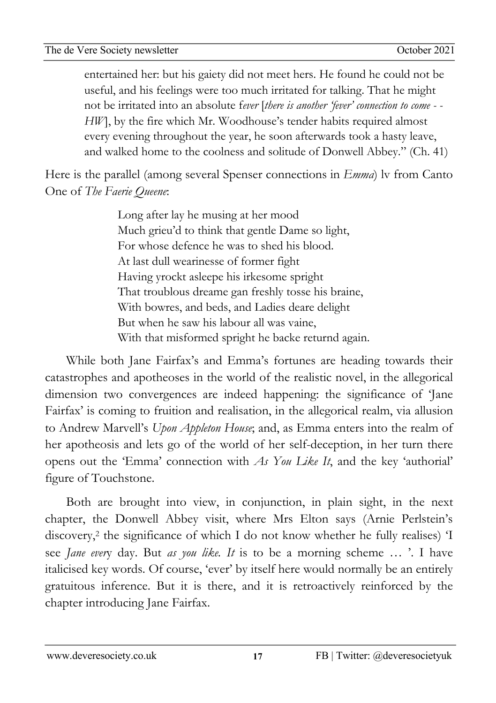02Apro 0 entertained her: but his gaiety did not meet hers. He found he could not be newsletzter<br>1980 - Sterne Sterne Barnett, skriuwski politik<br>1980 - Sterne Barnett, skriuwski politik useful, and his feelings were too much irritated for talking. That he might not be irritated into an absolute f*ever* [*there is another 'fever' connection to come - - HW*], by the fire which Mr. Woodhouse's tender habits required almost every evening throughout the year, he soon afterwards took a hasty leave, and walked home to the coolness and solitude of Donwell Abbey." (Ch. 41)

Here is the parallel (among several Spenser connections in *Emma*) lv from Canto One of *The Faerie Queene*:

> Long after lay he musing at her mood Much grieu'd to think that gentle Dame so light, For whose defence he was to shed his blood. At last dull wearinesse of former fight Having yrockt asleepe his irkesome spright That troublous dreame gan freshly tosse his braine, With bowres, and beds, and Ladies deare delight But when he saw his labour all was vaine, With that misformed spright he backe returnd again.

While both Jane Fairfax's and Emma's fortunes are heading towards their catastrophes and apotheoses in the world of the realistic novel, in the allegorical dimension two convergences are indeed happening: the significance of 'Jane Fairfax' is coming to fruition and realisation, in the allegorical realm, via allusion to Andrew Marvell's *Upon Appleton House*; and, as Emma enters into the realm of her apotheosis and lets go of the world of her self-deception, in her turn there opens out the 'Emma' connection with *As You Like It*, and the key 'authorial' figure of Touchstone.

Both are brought into view, in conjunction, in plain sight, in the next chapter, the Donwell Abbey visit, where Mrs Elton says (Arnie Perlstein's discovery,<sup>2</sup> the significance of which I do not know whether he fully realises) 'I see *Jane ever*y day. But *as you like. It* is to be a morning scheme … '. I have italicised key words. Of course, 'ever' by itself here would normally be an entirely gratuitous inference. But it is there, and it is retroactively reinforced by the chapter introducing Jane Fairfax.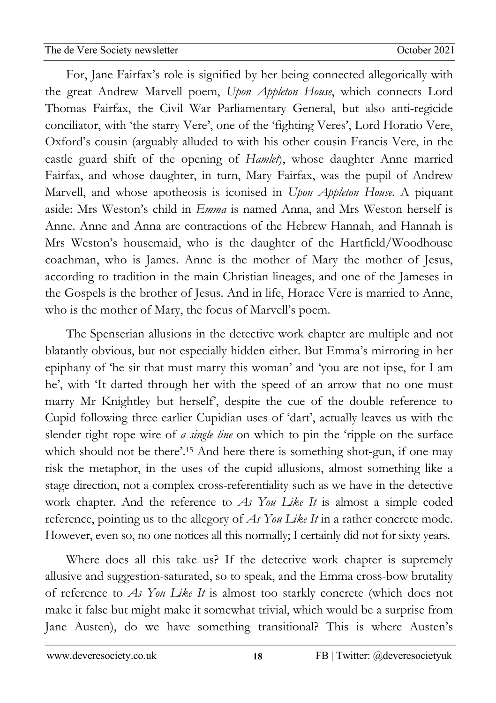02Apro For, Jane Fairfax's role is signified by her being connected allegorically with newsletzter<br>1980 - Sterne Sterne Barnett, skriuwski politik<br>1980 - Sterne Barnett, skriuwski politik the great Andrew Marvell poem, *Upon Appleton House*, which connects Lord Thomas Fairfax, the Civil War Parliamentary General, but also anti-regicide conciliator, with 'the starry Vere', one of the 'fighting Veres', Lord Horatio Vere, Oxford's cousin (arguably alluded to with his other cousin Francis Vere, in the castle guard shift of the opening of *Hamlet*), whose daughter Anne married Fairfax, and whose daughter, in turn, Mary Fairfax, was the pupil of Andrew Marvell, and whose apotheosis is iconised in *Upon Appleton House*. A piquant aside: Mrs Weston's child in *Emma* is named Anna, and Mrs Weston herself is Anne. Anne and Anna are contractions of the Hebrew Hannah, and Hannah is Mrs Weston's housemaid, who is the daughter of the Hartfield/Woodhouse coachman, who is James. Anne is the mother of Mary the mother of Jesus, according to tradition in the main Christian lineages, and one of the Jameses in the Gospels is the brother of Jesus. And in life, Horace Vere is married to Anne, who is the mother of Mary, the focus of Marvell's poem.

The Spenserian allusions in the detective work chapter are multiple and not blatantly obvious, but not especially hidden either. But Emma's mirroring in her epiphany of 'he sir that must marry this woman' and 'you are not ipse, for I am he', with 'It darted through her with the speed of an arrow that no one must marry Mr Knightley but herself', despite the cue of the double reference to Cupid following three earlier Cupidian uses of 'dart', actually leaves us with the slender tight rope wire of *a single line* on which to pin the 'ripple on the surface which should not be there'.<sup>15</sup> And here there is something shot-gun, if one may risk the metaphor, in the uses of the cupid allusions, almost something like a stage direction, not a complex cross-referentiality such as we have in the detective work chapter. And the reference to *As You Like It* is almost a simple coded reference, pointing us to the allegory of *As You Like It* in a rather concrete mode. However, even so, no one notices all this normally; I certainly did not for sixty years.

Where does all this take us? If the detective work chapter is supremely allusive and suggestion-saturated, so to speak, and the Emma cross-bow brutality of reference to *As You Like It* is almost too starkly concrete (which does not make it false but might make it somewhat trivial, which would be a surprise from Jane Austen), do we have something transitional? This is where Austen's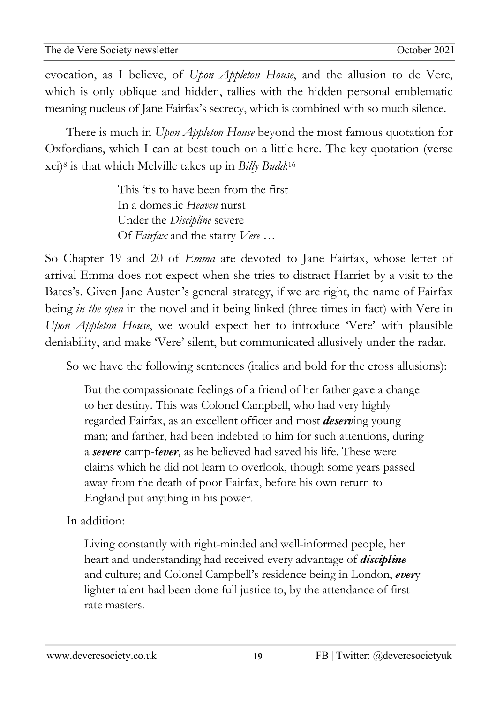02Apro evocation, as I believe, of *Upon Appleton House*, and the allusion to de Vere, newsletzter<br>1980 - Sterne Sterne Barnett, skriuwski politik<br>1980 - Sterne Barnett, skriuwski politik which is only oblique and hidden, tallies with the hidden personal emblematic meaning nucleus of Jane Fairfax's secrecy, which is combined with so much silence.

There is much in *Upon Appleton House* beyond the most famous quotation for Oxfordians, which I can at best touch on a little here. The key quotation (verse xci)8 is that which Melville takes up in *Billy Budd*:16

> This 'tis to have been from the first In a domestic *Heaven* nurst Under the *Discipline* severe Of *Fairfax* and the starry *Vere …*

So Chapter 19 and 20 of *Emma* are devoted to Jane Fairfax, whose letter of arrival Emma does not expect when she tries to distract Harriet by a visit to the Bates's. Given Jane Austen's general strategy, if we are right, the name of Fairfax being *in the open* in the novel and it being linked (three times in fact) with Vere in *Upon Appleton House*, we would expect her to introduce 'Vere' with plausible deniability, and make 'Vere' silent, but communicated allusively under the radar.

So we have the following sentences (italics and bold for the cross allusions):

But the compassionate feelings of a friend of her father gave a change to her destiny. This was Colonel Campbell, who had very highly regarded Fairfax, as an excellent officer and most *deserv*ing young man; and farther, had been indebted to him for such attentions, during a *severe* camp-f*ever*, as he believed had saved his life. These were claims which he did not learn to overlook, though some years passed away from the death of poor Fairfax, before his own return to England put anything in his power.

In addition:

Living constantly with right-minded and well-informed people, her heart and understanding had received every advantage of *discipline* and culture; and Colonel Campbell's residence being in London, *ever*y lighter talent had been done full justice to, by the attendance of firstrate masters.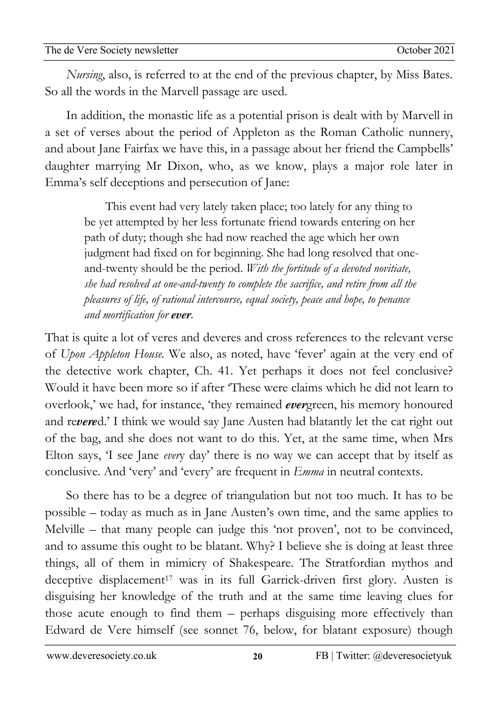02Apro 0 *Nursing*, also, is referred to at the end of the previous chapter, by Miss Bates. newsletzter<br>1980 - Sterne Sterne Barnett, skriuwski politik<br>1980 - Sterne Barnett, skriuwski politik So all the words in the Marvell passage are used.

In addition, the monastic life as a potential prison is dealt with by Marvell in a set of verses about the period of Appleton as the Roman Catholic nunnery, and about Jane Fairfax we have this, in a passage about her friend the Campbells' daughter marrying Mr Dixon, who, as we know, plays a major role later in Emma's self deceptions and persecution of Jane:

This event had very lately taken place; too lately for any thing to be yet attempted by her less fortunate friend towards entering on her path of duty; though she had now reached the age which her own judgment had fixed on for beginning. She had long resolved that oneand-twenty should be the period. *With the fortitude of a devoted novitiate, she had resolved at one-and-twenty to complete the sacrifice, and retire from all the pleasures of life, of rational intercourse, equal society, peace and hope, to penance and mortification for ever.*

That is quite a lot of veres and deveres and cross references to the relevant verse of *Upon Appleton House.* We also, as noted, have 'fever' again at the very end of the detective work chapter, Ch. 41. Yet perhaps it does not feel conclusive? Would it have been more so if after 'These were claims which he did not learn to overlook,' we had, for instance, 'they remained *ever*green, his memory honoured and re*vere*d.' I think we would say Jane Austen had blatantly let the cat right out of the bag, and she does not want to do this. Yet, at the same time, when Mrs Elton says, 'I see Jane *ever*y day' there is no way we can accept that by itself as conclusive. And 'very' and 'every' are frequent in *Emma* in neutral contexts.

So there has to be a degree of triangulation but not too much. It has to be possible – today as much as in Jane Austen's own time, and the same applies to Melville – that many people can judge this 'not proven', not to be convinced, and to assume this ought to be blatant. Why? I believe she is doing at least three things, all of them in mimicry of Shakespeare. The Stratfordian mythos and deceptive displacement<sup>17</sup> was in its full Garrick-driven first glory. Austen is disguising her knowledge of the truth and at the same time leaving clues for those acute enough to find them – perhaps disguising more effectively than Edward de Vere himself (see sonnet 76, below, for blatant exposure) though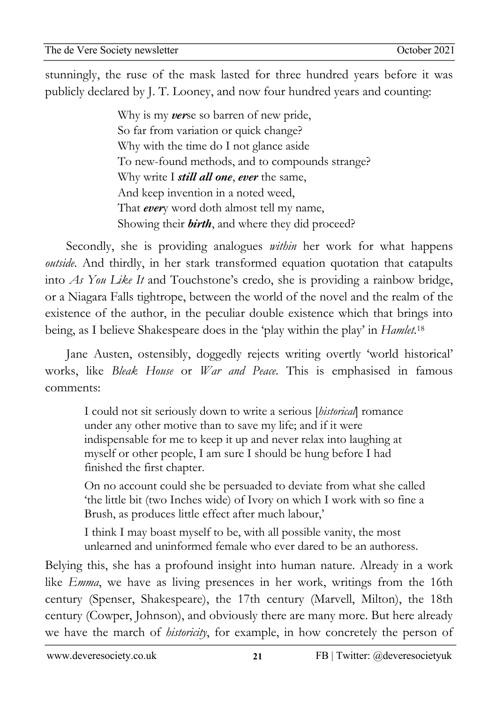02Apro stunningly, the ruse of the mask lasted for three hundred years before it was newsletzter<br>1980 - Sterne Sterne Barnett, skriuwski politik<br>1980 - Sterne Barnett, skriuwski politik publicly declared by J. T. Looney, and now four hundred years and counting:

> Why is my *ver*se so barren of new pride, So far from variation or quick change? Why with the time do I not glance aside To new-found methods, and to compounds strange? Why write I *still all one*, *ever* the same, And keep invention in a noted weed, That *ever*y word doth almost tell my name, Showing their *birth*, and where they did proceed?

Secondly, she is providing analogues *within* her work for what happens *outside*. And thirdly, in her stark transformed equation quotation that catapults into *As You Like It* and Touchstone's credo, she is providing a rainbow bridge, or a Niagara Falls tightrope, between the world of the novel and the realm of the existence of the author, in the peculiar double existence which that brings into being, as I believe Shakespeare does in the 'play within the play' in *Hamlet.*<sup>18</sup>

Jane Austen, ostensibly, doggedly rejects writing overtly 'world historical' works, like *Bleak House* or *War and Peace*. This is emphasised in famous comments:

I could not sit seriously down to write a serious [*historical*] romance under any other motive than to save my life; and if it were indispensable for me to keep it up and never relax into laughing at myself or other people, I am sure I should be hung before I had finished the first chapter.

On no account could she be persuaded to deviate from what she called 'the little bit (two Inches wide) of Ivory on which I work with so fine a Brush, as produces little effect after much labour,'

I think I may boast myself to be, with all possible vanity, the most unlearned and uninformed female who ever dared to be an authoress.

Belying this, she has a profound insight into human nature. Already in a work like *Emma*, we have as living presences in her work, writings from the 16th century (Spenser, Shakespeare), the 17th century (Marvell, Milton), the 18th century (Cowper, Johnson), and obviously there are many more. But here already we have the march of *historicity*, for example, in how concretely the person of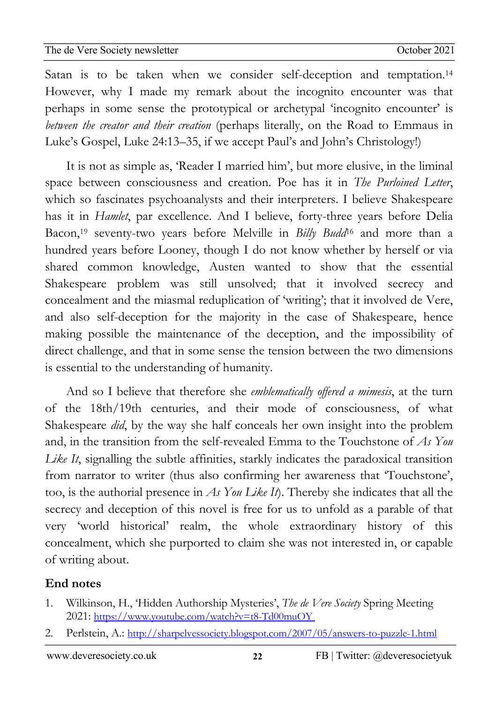02Apro  $\boldsymbol{a}$ newsletzter<br>1980 - Sterne Sterne Barnett, skriuwski politik<br>1980 - Sterne Barnett, skriuwski politik Satan is to be taken when we consider self-deception and temptation.14 However, why I made my remark about the incognito encounter was that perhaps in some sense the prototypical or archetypal 'incognito encounter' is *between the creator and their creation* (perhaps literally, on the Road to Emmaus in Luke's Gospel, Luke 24:13–35, if we accept Paul's and John's Christology!)

It is not as simple as, 'Reader I married him', but more elusive, in the liminal space between consciousness and creation. Poe has it in *The Purloined Letter*, which so fascinates psychoanalysts and their interpreters. I believe Shakespeare has it in *Hamlet*, par excellence. And I believe, forty-three years before Delia Bacon, <sup>19</sup> seventy-two years before Melville in *Billy Budd*<sup>16</sup> and more than a hundred years before Looney, though I do not know whether by herself or via shared common knowledge, Austen wanted to show that the essential Shakespeare problem was still unsolved; that it involved secrecy and concealment and the miasmal reduplication of 'writing'; that it involved de Vere, and also self-deception for the majority in the case of Shakespeare, hence making possible the maintenance of the deception, and the impossibility of direct challenge, and that in some sense the tension between the two dimensions is essential to the understanding of humanity.

And so I believe that therefore she *emblematically offered a mimesis*, at the turn of the 18th/19th centuries, and their mode of consciousness, of what Shakespeare *did*, by the way she half conceals her own insight into the problem and, in the transition from the self-revealed Emma to the Touchstone of *As You*  Like It, signalling the subtle affinities, starkly indicates the paradoxical transition from narrator to writer (thus also confirming her awareness that 'Touchstone', too, is the authorial presence in *As You Like It*). Thereby she indicates that all the secrecy and deception of this novel is free for us to unfold as a parable of that very 'world historical' realm, the whole extraordinary history of this concealment, which she purported to claim she was not interested in, or capable of writing about.

# **End notes**

- 1. Wilkinson, H., 'Hidden Authorship Mysteries', *The de Vere Society* Spring Meeting 2021: https://www.youtube.com/watch?v=t8-Td00muOY
- 2. Perlstein, A.: http://sharpelvessociety.blogspot.com/2007/05/answers-to-puzzle-1.html